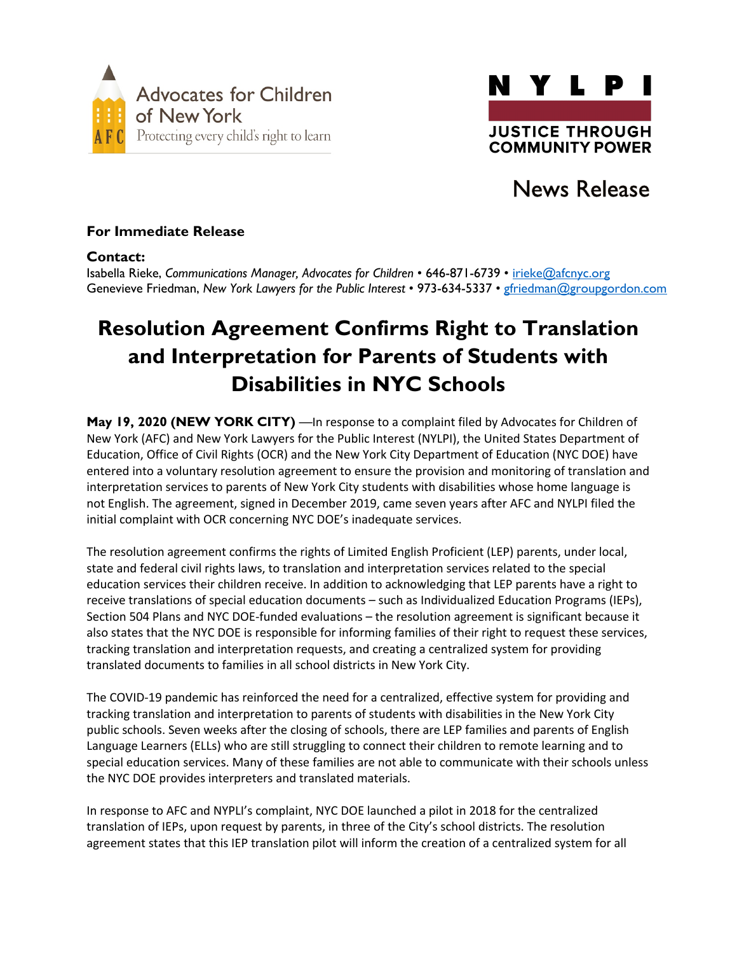



## News Release

## For Immediate Release

### Contact:

Isabella Rieke, *Communications Manager, Advocates for Children* • 646-871-6739 • irieke@afcnyc.org Genevieve Friedman, *New York Lawyers for the Public Interest* • 973-634-5337 • gfriedman@groupgordon.com

# Resolution Agreement Confirms Right to Translation and Interpretation for Parents of Students with Disabilities in NYC Schools

May 19, 2020 (NEW YORK CITY) —In response to a complaint filed by Advocates for Children of New York (AFC) and New York Lawyers for the Public Interest (NYLPI), the United States Department of Education, Office of Civil Rights (OCR) and the New York City Department of Education (NYC DOE) have entered into a voluntary resolution agreement to ensure the provision and monitoring of translation and interpretation services to parents of New York City students with disabilities whose home language is not English. The agreement, signed in December 2019, came seven years after AFC and NYLPI filed the initial complaint with OCR concerning NYC DOE's inadequate services.

The resolution agreement confirms the rights of Limited English Proficient (LEP) parents, under local, state and federal civil rights laws, to translation and interpretation services related to the special education services their children receive. In addition to acknowledging that LEP parents have a right to receive translations of special education documents – such as Individualized Education Programs (IEPs), Section 504 Plans and NYC DOE-funded evaluations – the resolution agreement is significant because it also states that the NYC DOE is responsible for informing families of their right to request these services, tracking translation and interpretation requests, and creating a centralized system for providing translated documents to families in all school districts in New York City.

The COVID-19 pandemic has reinforced the need for a centralized, effective system for providing and tracking translation and interpretation to parents of students with disabilities in the New York City public schools. Seven weeks after the closing of schools, there are LEP families and parents of English Language Learners (ELLs) who are still struggling to connect their children to remote learning and to special education services. Many of these families are not able to communicate with their schools unless the NYC DOE provides interpreters and translated materials.

In response to AFC and NYPLI's complaint, NYC DOE launched a pilot in 2018 for the centralized translation of IEPs, upon request by parents, in three of the City's school districts. The resolution agreement states that this IEP translation pilot will inform the creation of a centralized system for all